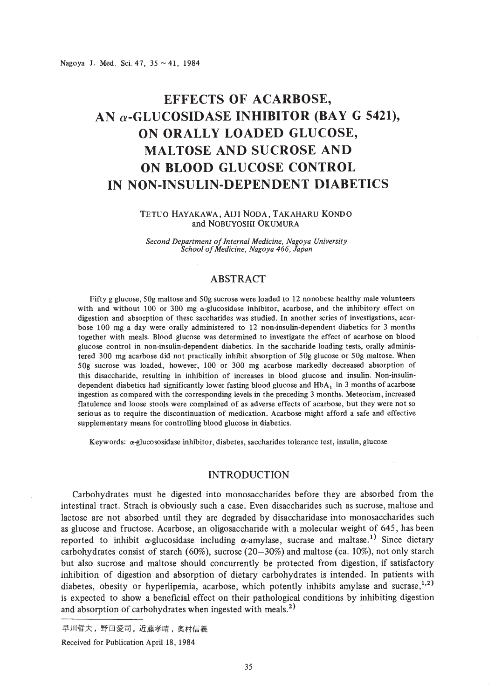Nagoya J. Med. Sci. 47,  $35 \sim 41$ , 1984

# **EFFECTS OF ACARBOSE, AN a-GLUCOSIDASE INHIBITOR (BAY G 5421), ON ORALLY LOADED GLUCOSE, MALTOSE AND SUCROSE AND ON BLOOD GLUCOSE CONTROL IN NON-INSULIN-DEPENDENT DIABETICS**

#### TETUO HAYAKAWA, AIJI NODA, TAKAHARU KONDO and NOBUYOSHI OKUMURA

*Second Department ofInternal Medicine, Nagoya University School ofMedicine, Nagoya* 466, *Japan*

# ABSTRACT

Fifty g glucose, 50g maltose and 50g sucrose were loaded to 12 nonobese healthy male volunteers with and without 100 or 300 mg  $\alpha$ -glucosidase inhibitor, acarbose, and the inhibitory effect on digestion and absorption of these saccharides was studied. In another series of investigations, acarbose 100 mg a day were orally administered to 12 non-insulin-dependent diabetics for 3 months together with meals. Blood glucose was determined to investigate the effect of acarbose on blood glucose control in non-insulin-dependent diabetics. In the saccharide loading tests, orally administered 300 mg acarbose did not practically inhibit absorption of 50g glucose or 50g maltose. When SOg sucrose was loaded, however, 100 or 300 mg acarbose markedly decreased absorption of this disaccharide, resulting in inhibition of increases in blood glucose and insulin. Non-insulindependent diabetics had significantly lower fasting blood glucose and  $HbA_1$  in 3 months of acarbose ingestion as compared with the corresponding levels in the preceding 3 months. Meteorism, increased flatulence and loose stools were complained of as adverse effects of acarbose, but they were not so serious as to require the discontinuation of medication. Acarbose might afford a safe and effective supplementary means for controlling blood glucose in diabetics.

Keywords:  $\alpha$ -glucososidase inhibitor, diabetes, saccharides tolerance test, insulin, glucose

## INTRODUCTION

Carbohydrates must be digested into monosaccharides before they are absorbed from the intestinal tract. Strach is obviously such a case. Even disaccharides such as sucrose, maltose and lactose are not absorbed until they are degraded by disaccharidase into monosaccharides such as glucose and fructose. Acarbose, an oligosaccharide with a molecular weight of 645, has been reported to inhibit  $\alpha$ -glucosidase including  $\alpha$ -amylase, sucrase and maltase.<sup>1)</sup> Since dietary carbohydrates consist of starch (60%), sucrose (20-30%) and maltose (ca. 10%), not only starch but also sucrose and maltose should concurrently be protected from digestion, if satisfactory inhibition of digestion and absorption of dietary carbohydrates is intended. In patients with diabetes, obesity or hyperlipemia, acarbose, which potently inhibits amylase and sucrase, $1,2$ ) is expected to show a beneficial effect on their pathological conditions by inhibiting digestion and absorption of carbohydrates when ingested with meals.<sup>2)</sup>

早川哲夫,野田愛司,近藤孝晴,奥村信義

Received for Publication April 18, 1984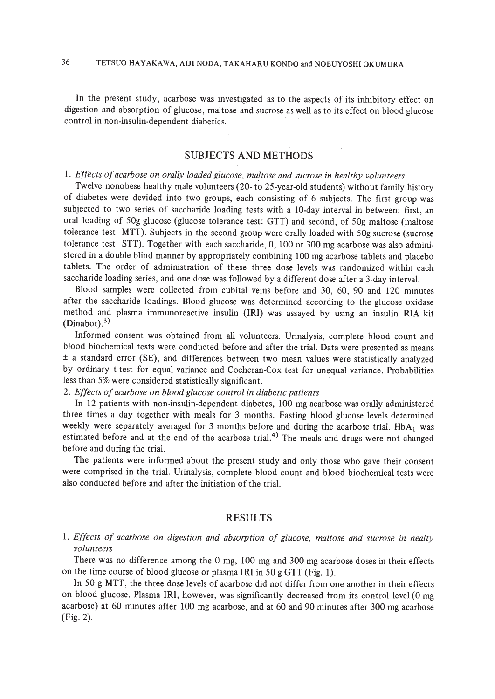36 TETSUO HAYAKAWA, AIJI NODA, TAKAHARU KONDO and NOBUYOSHI OKUMURA

In the present study, acarbose was investigated as to the aspects of its inhibitory effect on digestion and absorption of glucose, maltose and sucrose as well as to its effect on blood glucose control in non-insulin-dependent diabetics.

## SUBJECTS AND METHODS

# I. *Effects ofacarbose on orally loaded glucose, maltose and sucrose in healthy volunteers*

Twelve nonobese healthy male volunteers (20· to 25-year-old students) without family history of diabetes were devided into two groups, each consisting of 6 subjects. The first group was subjected to two series of saccharide loading tests with a lO-day interval in between: first, an oral loading of 50g glucose (glucose tolerance test: GTT) and second, of 50g maltose (maltose tolerance test: MTT). Subjects in the second group were orally loaded with 50g sucrose (sucrose tolerance test: STT). Together with each saccharide, 0, 100 or 300 mg acarbose was also administered in a double blind manner by appropriately combining 100 mg acarbose tablets and placebo tablets. The order of administration of these three dose levels was randomized within each saccharide loading series, and one dose was followed by a different dose after a 3-day interval.

Blood samples were collected from cubital veins before and 30, 60, 90 and 120 minutes after the saccharide loadings. Blood glucose was determined according to the glucose oxidase method and plasma immunoreactive insulin (IRI) was assayed by using an insulin RIA kit  $(Dinabot).$ <sup>3)</sup>

Informed consent was obtained from all volunteers. Urinalysis, complete blood count and blood biochemical tests were conducted before and after the trial. Data were presented as means  $\pm$  a standard error (SE), and differences between two mean values were statistically analyzed by ordinary t-test for equal variance and Cochcran·Cox test for unequal variance. Probabilities less than 5% were considered statistically significant.

#### *2. Effects ofacarbose on blood glucose control in diabetic patients*

In 12 patients with non-insulin-dependent diabetes, 100 mg acarbose was orally administered three times a day together with meals for 3 months. Fasting blood glucose levels determined weekly were separately averaged for 3 months before and during the acarbose trial.  $HbA_1$  was estimated before and at the end of the acarbose trial.<sup>4)</sup> The meals and drugs were not changed before and during the trial.

The patients were informed about the present study and only those who gave their consent were comprised in the trial. Urinalysis, complete blood count and blood biochemical tests were also conducted before and after the initiation of the trial.

### RESULTS

## *1. Effects of acarbose on digestion and absorption of glucose, maltose and sucrose in healty volunteers*

There was no difference among the 0 mg, 100 mg and 300 mg acarbose doses in their effects on the time course of blood glucose or plasma IRI in 50 g GTT (Fig. 1).

In 50 g MTT, the three dose levels of acarbose did not differ from one another in their effects on blood glucose. Plasma IRI, however, was significantly decreased from its control level (0 mg acarbose) at 60 minutes after 100 mg acarbose, and at 60 and 90 minutes after 300 mg acarbose (Fig. 2).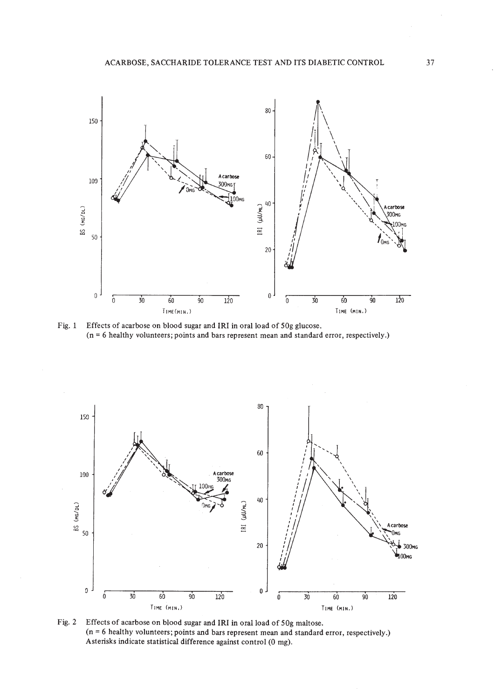

Fig. 1 Effects of acarbose on blood sugar and IRI in oral load of 50g glucose. (n = 6 healthy volunteers; points and bars represent mean and standard error, respectively.)



Fig. 2 Effects of acarbose on blood sugar and IRI in oral load of  $50g$  maltose. (n = 6 healthy volunteers; points and bars represent mean and standard error, respectively.) Asterisks indicate statistical difference against control (0 mg).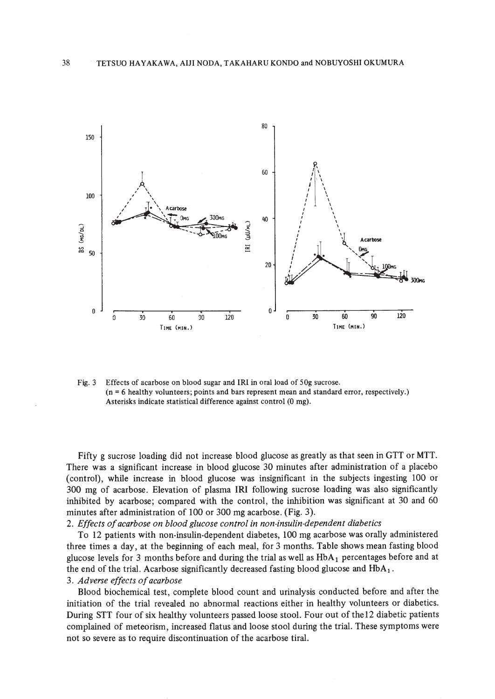

Fig. 3 Effects of acarbose on blood sugar and IRI in oral load of 50g sucrose. (n = 6 healthy volunteers; points and bars represent mean and standard error, respectively.) Asterisks indicate statistical difference against control (0 mg).

Fifty g sucrose loading did not increase blood glucose as greatly as that seen in GTT or MTT. There was a significant increase in blood glucose 30 minutes after administration of a placebo (control), while increase in blood glucose was insignificant in the subjects ingesting 100 or 300 mg of acarbose. Elevation of plasma IRI following sucrose loading was also significantly inhibited by acarbose; compared with the control, the inhibition was significant at 30 and 60 minutes after administration of 100 or 300 mg acarbose. (Fig. 3).

*2. Effects ofacarbose on blood glucose control in non-insulin-dependent diabetics*

To 12 patients with non-insulin-dependent diabetes, 100 mg acarbose was orally administered three times a day, at the beginning of each meal, for 3 months. Table shows mean fasting blood glucose levels for 3 months before and during the trial as well as  $HbA<sub>1</sub>$  percentages before and at the end of the trial. Acarbose significantly decreased fasting blood glucose and  $HbA_1$ . *3. Adverse effects ofacarbose*

Blood biochemical test, complete blood count and urinalysis conducted before and after the initiation of the trial revealed no abnormal reactions either in healthy volunteers or diabetics. During STT four of six healthy volunteers passed loose stool. Four out of the12 diabetic patients complained of meteorism, increased flatus and loose stool during the trial. These symptoms were not so severe as to require discontinuation of the acarbose tiral.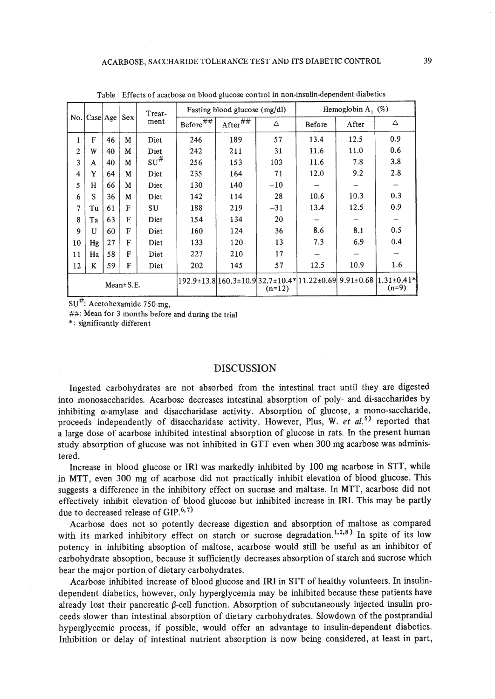|                 | No.   Case   Age |    | Sex | Treat-<br>ment     | Fasting blood glucose (mg/dl) |                              |          | Hemoglobin A, $(\%)$ |            |                                                                                |
|-----------------|------------------|----|-----|--------------------|-------------------------------|------------------------------|----------|----------------------|------------|--------------------------------------------------------------------------------|
|                 |                  |    |     |                    | Before $\overline{***}$       | After $\overline{^{~\# \#}}$ | Δ        | Before               | After      | Δ                                                                              |
| 1               | F                | 46 | M   | Diet               | 246                           | 189                          | 57       | 13.4                 | 12.5<br>à, | 0.9                                                                            |
| $\overline{c}$  | W                | 40 | M   | Diet               | 242                           | 211                          | 31       | 11.6                 | 11.0       | 0.6                                                                            |
| 3               | A                | 40 | M   | $\mathrm{SU}^{\#}$ | 256                           | 153                          | 103      | 11.6                 | 7.8        | 3.8                                                                            |
| 4               | Y                | 64 | M   | Diet               | 235                           | 164                          | 71       | 12.0                 | 9.2        | 2.8                                                                            |
| 5               | н                | 66 | M   | Diet               | 130                           | 140                          | $-10$    |                      |            |                                                                                |
| 6               | S                | 36 | M   | Diet               | 142                           | 114                          | 28       | 10.6                 | 10.3       | 0.3                                                                            |
| 7               | Tu               | 61 | F   | SU                 | 188                           | 219                          | $-31$    | 13.4                 | 12.5       | 0.9                                                                            |
| 8               | Ta               | 63 | F   | Diet               | 154                           | 134                          | 20       |                      |            |                                                                                |
| 9               | U                | 60 | F   | Diet               | 160                           | 124                          | 36       | 8.6                  | 8.1        | 0.5                                                                            |
| 10              | Hg               | 27 | F   | Diet               | 133                           | 120                          | 13       | 7.3                  | 6.9        | 0.4                                                                            |
| 11              | Ha               | 58 | F   | Diet               | 227                           | 210                          | 17       |                      |            |                                                                                |
| 12              | K                | 59 | F   | Diet               | 202                           | 145                          | 57       | 12.5                 | 10.9       | 1.6                                                                            |
| $Mean \pm S.E.$ |                  |    |     |                    |                               |                              | $(n=12)$ |                      |            | 192.9±13.8 160.3±10.9 32.7±10.4* 11.22±0.69  9.91±0.68  1.31±0.41* <br>$(n=9)$ |

Table Effects of acarbose on blood glucose control in non-insutin-dependent diabetics

 $SU<sup>#</sup>$ : Acetohexamide 750 mg,

 $##$ : Mean for 3 months before and during the trial

\*: significantly different

#### DISCUSSION

Ingested carbohydrates are not absorbed from the intestinal tract until they are digested into monosaccharides. Acarbose decreases intestinal absorption of poly- and di-saccharides by inhibiting  $\alpha$ -amylase and disaccharidase activity. Absorption of glucose, a mono-saccharide, proceeds independently of disaccharidase activity. However, Plus, W. *et ai. <sup>5</sup> )* reported that a large dose of acarbose inhibited intestinal absorption of glucose in rats. In the present human study absorption of glucose was not inhibited in GTT even when 300 mg acarbose was administered.

Increase in blood glucose or IRI was markedly inhibited by 100 mg acarbose in STT, while in MTT, even 300 mg of acarbose did not practically inhibit elevation of blood glucose. This suggests a difference in the inhibitory effect on sucrase and maltase. In MTT, acarbose did not effectively inhibit elevation of blood glucose but inhibited increase in IRI. This may be partly due to decreased release of  $GIP.<sup>6,7</sup>$ 

Acarbose does not so potently decrease digestion and absorption of maltose as compared with its marked inhibitory effect on starch or sucrose degradation.<sup>1,2,8</sup>) In spite of its low potency in inhibiting absoption of maltose, acarbose would still be useful as an inhibitor of carbohydrate absoption, because it sufficiently decreases absorption of starch and sucrose which bear the major portion of dietary carbohydrates.

Acarbose inhibited increase of blood glucose and IRI in STT of healthy volunteers. In insulindependent diabetics, however, only hyperglycemia may be inhibited because these patients have already lost their pancreatic  $\beta$ -cell function. Absorption of subcutaneously injected insulin proceeds slower than intestinal absorption of dietary carbohydrates. Slowdown of the postprandial hyperglycemic process, if possible, would offer an advantage to insulin-dependent diabetics. Inhibition or delay of intestinal nutrient absorption is now being considered, at least in part,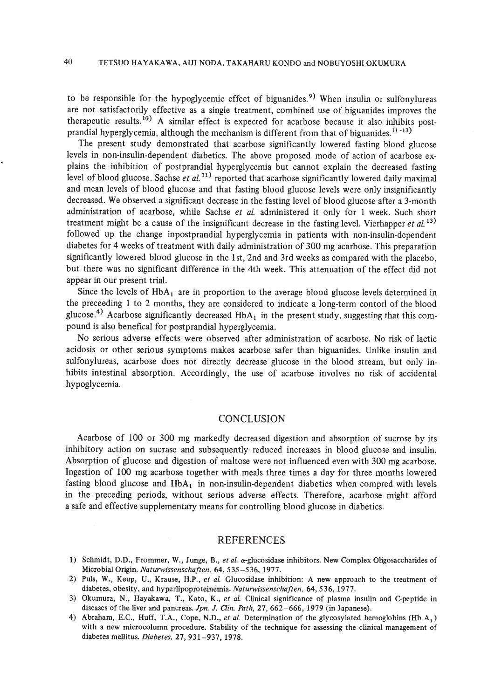to be responsible for the hypoglycemic effect of biguanides.<sup>9)</sup> When insulin or sulfonylureas are not satisfactorily effective as a single treatment, combined use of biguanides improves the therapeutic results.<sup>10</sup>) A similar effect is expected for acarbose because it also inhibits postprandial hyperglycemia, although the mechanism is different from that of biguanides.<sup>11-13)</sup>

The present study demonstrated that acarbose significantly lowered fasting blood glucose levels in non-insulin-dependent diabetics. The above proposed mode of action of acarbose explains the inhibition of postprandial hyperglycemia but cannot explain the decreased fasting level of blood glucose. Sachse *et al.*<sup>11)</sup> reported that acarbose significantly lowered daily maximal and mean levels of blood glucose and that fasting blood glucose levels were only insignificantly decreased. We observed a significant decrease in the fasting level of blood glucose after a 3-month administration of acarbose, while Sachse *et at.* administered it only for 1 week. Such short treatment might be a cause of the insignificant decrease in the fasting level. Vierhapper *et al.* 13) followed up the change inpostprandial hyperglycemia in patients with non-insulin-dependent diabetes for 4 weeks of treatment with daily administration of 300 mg acarbose. This preparation significantly lowered blood glucose in the Ist, 2nd and 3rd weeks as compared with the placebo, but there was no significant difference in the 4th week. This attenuation of the effect did not appear in our present trial.

Since the levels of  $HbA_1$  are in proportion to the average blood glucose levels determined in the preceeding 1 to 2 months, they are considered to indicate a long-term contorl of the blood glucose.<sup>4)</sup> Acarbose significantly decreased  $HbA_1$  in the present study, suggesting that this compound is also benefical for postprandial hyperglycemia.

No serious adverse effects were observed after administration of acarbose. No risk of lactic acidosis or other serious symptoms makes acarbose safer than biguanides. Unlike insulin and sulfonylureas, acarbose does not directly decrease glucose in the blood stream, but only inhibits intestinal absorption. Accordingly, the use of acarbose involves no risk of accidental hypoglycemia.

#### **CONCLUSION**

Acarbose of 100 or 300 mg markedly decreased digestion and absorption of sucrose by its inhibitory action on sucrase and subsequently reduced increases in blood glucose and insulin. Absorption of glucose and digestion of maltose were not influenced even with 300 mg acarbose. Ingestion of 100 mg acarbose together with meals three times a day for three months lowered fasting blood glucose and  $HbA_1$  in non-insulin-dependent diabetics when compred with levels in the preceding periods, without serious adverse effects. Therefore, acarbose might afford a safe and effective supplementary means for controlling blood glucose in diabetics.

#### REFERENCES

- 1) Schmidt, D.O., Frommer, W., Junge, B., *et* af. a-glucosidase inhibitors. New Complex Oligosaccharides of Microbial Origin. *Naturwissenschaften,* 64,535-536,1977.
- 2) Puis, W., Keup, D., Krause, H.P., *et* af. Glucosidase inhibition: A new approach to the treatment of diabetes, obesity, and hyperlipoproteinemia. *Naturwissenschaften,* 64,536, 1977.
- 3) Okumura, N., Hayakawa, T., Kato, K., *et* af. Clinical significance of plasma insulin and C-peptide in diseases of the liver and pancreas. *Jpn.* J. *Qin. Path,* 27,662-666, 1979 (in Japanese).
- 4) Abraham, E.C., Huff, T.A., Cope, N.D., *et al.* Determination of the glycosylated hemoglobins (Hb A<sub>1</sub>) with a new microcolumn procedure. Stability of the technique for assessing the clinical management of diabetes mellitus. *Diabetes,* 27,931-937, 1978.